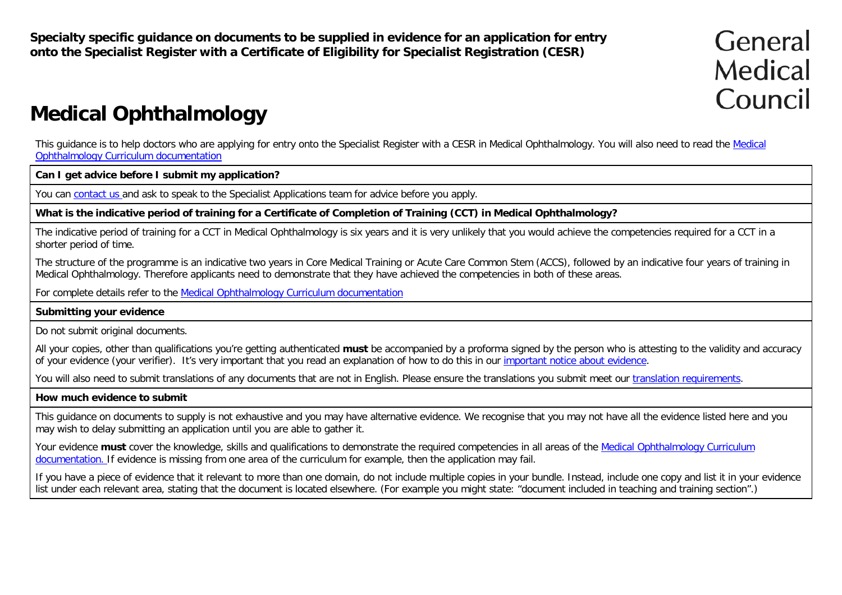**Specialty specific guidance on documents to be supplied in evidence for an application for entry onto the Specialist Register with a Certificate of Eligibility for Specialist Registration (CESR)**

# General Medical Council

## **Medical Ophthalmology**

This guidance is to help doctors who are applying for entry onto the Specialist Register with a CESR in Medical Ophthalmology. You will also need to read the Medical Ophthalmology Curriculum documentation

#### **Can I get advice before I submit my application?**

You can contact us and ask to speak to the Specialist Applications team for advice before you apply.

#### **What is the indicative period of training for a Certificate of Completion of Training (CCT) in Medical Ophthalmology?**

The indicative period of training for a CCT in Medical Ophthalmology is six years and it is very unlikely that you would achieve the competencies required for a CCT in a shorter period of time.

The structure of the programme is an indicative two years in Core Medical Training or Acute Care Common Stem (ACCS), followed by an indicative four years of training in Medical Ophthalmology. Therefore applicants need to demonstrate that they have achieved the competencies in both of these areas.

For complete details refer to the Medical Ophthalmology Curriculum documentation

#### **Submitting your evidence**

Do not submit original documents.

All your copies, other than qualifications you're getting authenticated **must** be accompanied by a proforma signed by the person who is attesting to the validity and accuracy of your evidence (your verifier). It's very important that you read an explanation of how to do this in our important notice about evidence.

You will also need to submit translations of any documents that are not in English. Please ensure the translations you submit meet our translation requirements.

#### **How much evidence to submit**

This guidance on documents to supply is not exhaustive and you may have alternative evidence. We recognise that you may not have all the evidence listed here and you may wish to delay submitting an application until you are able to gather it.

Your evidence must cover the knowledge, skills and qualifications to demonstrate the required competencies in all areas of the Medical Ophthalmology Curriculum documentation. If evidence is missing from one area of the curriculum for example, then the application may fail.

If you have a piece of evidence that it relevant to more than one domain, do not include multiple copies in your bundle. Instead, include one copy and list it in your evidence list under each relevant area, stating that the document is located elsewhere. (For example you might state: "document included in teaching and training section".)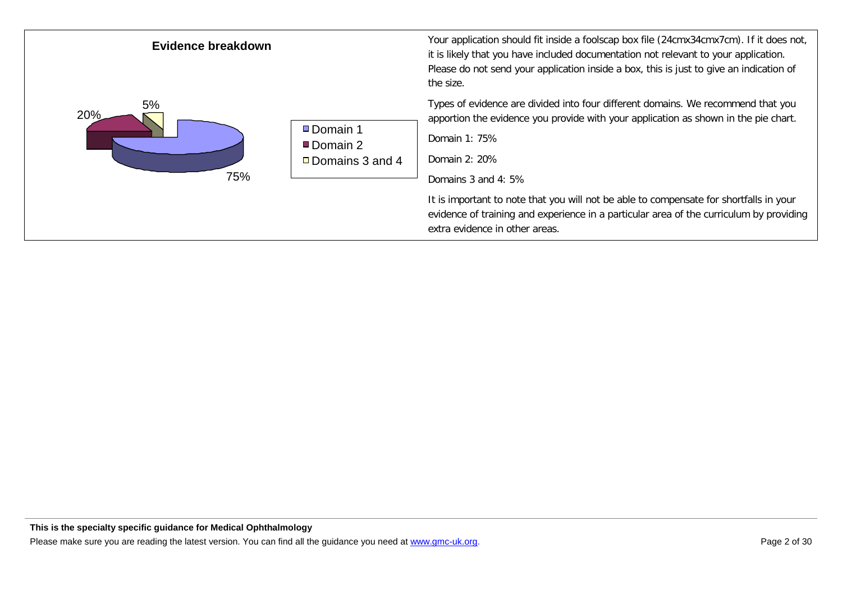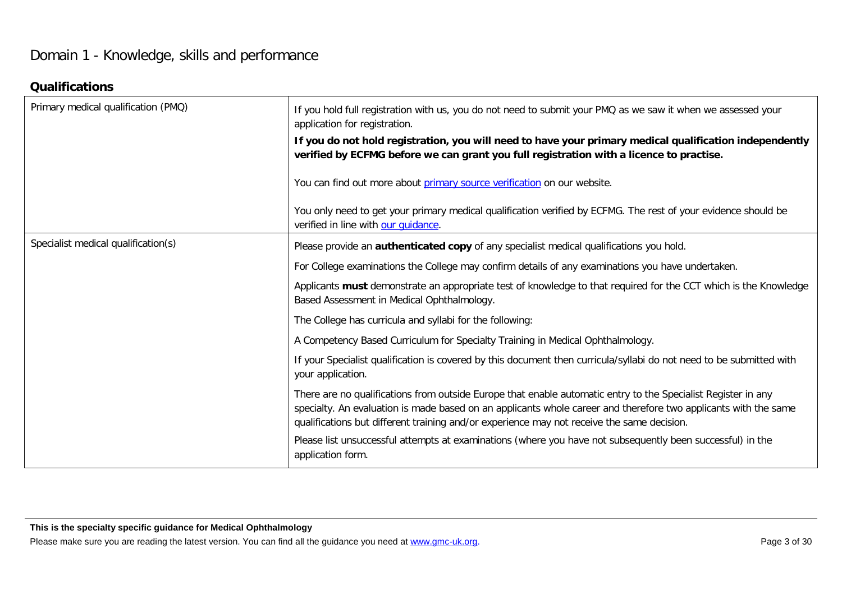## Domain 1 - Knowledge, skills and performance

#### **Qualifications**

| Primary medical qualification (PMQ) | If you hold full registration with us, you do not need to submit your PMQ as we saw it when we assessed your<br>application for registration.                                                                                                                                                                                  |
|-------------------------------------|--------------------------------------------------------------------------------------------------------------------------------------------------------------------------------------------------------------------------------------------------------------------------------------------------------------------------------|
|                                     | If you do not hold registration, you will need to have your primary medical qualification independently<br>verified by ECFMG before we can grant you full registration with a licence to practise.                                                                                                                             |
|                                     | You can find out more about primary source verification on our website.                                                                                                                                                                                                                                                        |
|                                     | You only need to get your primary medical qualification verified by ECFMG. The rest of your evidence should be<br>verified in line with our quidance.                                                                                                                                                                          |
| Specialist medical qualification(s) | Please provide an authenticated copy of any specialist medical qualifications you hold.                                                                                                                                                                                                                                        |
|                                     | For College examinations the College may confirm details of any examinations you have undertaken.                                                                                                                                                                                                                              |
|                                     | Applicants must demonstrate an appropriate test of knowledge to that required for the CCT which is the Knowledge<br>Based Assessment in Medical Ophthalmology.                                                                                                                                                                 |
|                                     | The College has curricula and syllabi for the following:                                                                                                                                                                                                                                                                       |
|                                     | A Competency Based Curriculum for Specialty Training in Medical Ophthalmology.                                                                                                                                                                                                                                                 |
|                                     | If your Specialist qualification is covered by this document then curricula/syllabi do not need to be submitted with<br>your application.                                                                                                                                                                                      |
|                                     | There are no qualifications from outside Europe that enable automatic entry to the Specialist Register in any<br>specialty. An evaluation is made based on an applicants whole career and therefore two applicants with the same<br>qualifications but different training and/or experience may not receive the same decision. |
|                                     | Please list unsuccessful attempts at examinations (where you have not subsequently been successful) in the<br>application form.                                                                                                                                                                                                |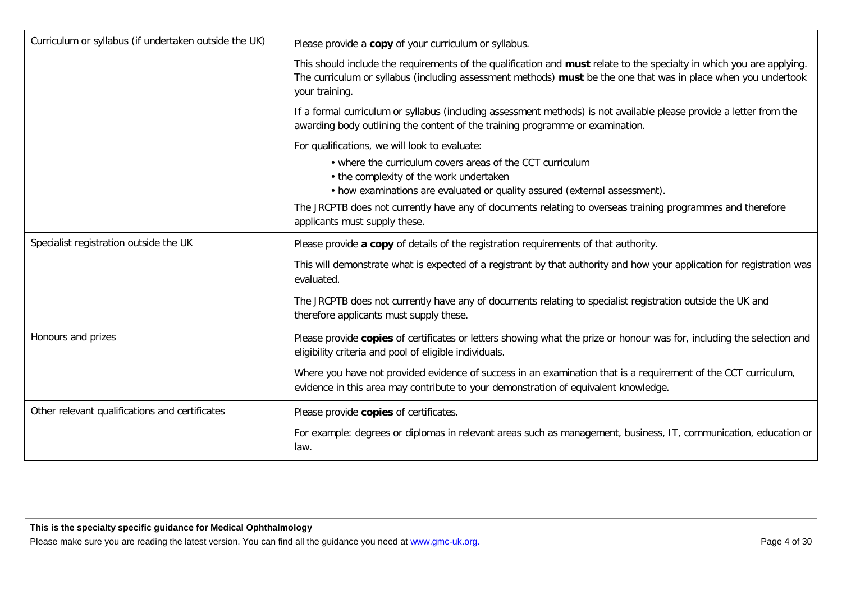| Curriculum or syllabus (if undertaken outside the UK) | Please provide a copy of your curriculum or syllabus.                                                                                                                                                                                                     |
|-------------------------------------------------------|-----------------------------------------------------------------------------------------------------------------------------------------------------------------------------------------------------------------------------------------------------------|
|                                                       | This should include the requirements of the qualification and must relate to the specialty in which you are applying.<br>The curriculum or syllabus (including assessment methods) must be the one that was in place when you undertook<br>your training. |
|                                                       | If a formal curriculum or syllabus (including assessment methods) is not available please provide a letter from the<br>awarding body outlining the content of the training programme or examination.                                                      |
|                                                       | For qualifications, we will look to evaluate:                                                                                                                                                                                                             |
|                                                       | • where the curriculum covers areas of the CCT curriculum<br>• the complexity of the work undertaken                                                                                                                                                      |
|                                                       | • how examinations are evaluated or quality assured (external assessment).                                                                                                                                                                                |
|                                                       | The JRCPTB does not currently have any of documents relating to overseas training programmes and therefore<br>applicants must supply these.                                                                                                               |
| Specialist registration outside the UK                | Please provide a copy of details of the registration requirements of that authority.                                                                                                                                                                      |
|                                                       | This will demonstrate what is expected of a registrant by that authority and how your application for registration was<br>evaluated.                                                                                                                      |
|                                                       | The JRCPTB does not currently have any of documents relating to specialist registration outside the UK and<br>therefore applicants must supply these.                                                                                                     |
| Honours and prizes                                    | Please provide copies of certificates or letters showing what the prize or honour was for, including the selection and<br>eligibility criteria and pool of eligible individuals.                                                                          |
|                                                       | Where you have not provided evidence of success in an examination that is a requirement of the CCT curriculum,<br>evidence in this area may contribute to your demonstration of equivalent knowledge.                                                     |
| Other relevant qualifications and certificates        | Please provide copies of certificates.                                                                                                                                                                                                                    |
|                                                       | For example: degrees or diplomas in relevant areas such as management, business, IT, communication, education or<br>law.                                                                                                                                  |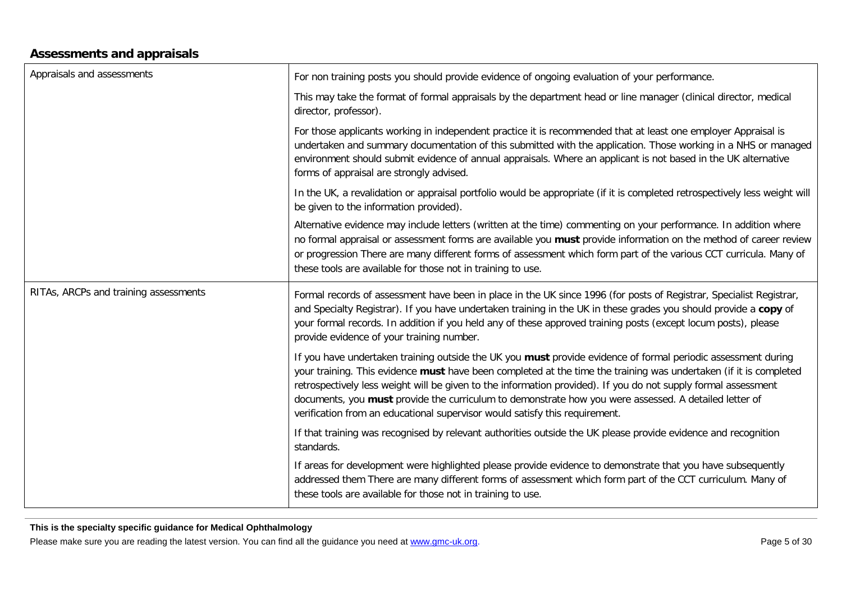#### **Assessments and appraisals**

| Appraisals and assessments            | For non training posts you should provide evidence of ongoing evaluation of your performance.                                                                                                                                                                                                                                                                                                                                                                                                                                                |
|---------------------------------------|----------------------------------------------------------------------------------------------------------------------------------------------------------------------------------------------------------------------------------------------------------------------------------------------------------------------------------------------------------------------------------------------------------------------------------------------------------------------------------------------------------------------------------------------|
|                                       | This may take the format of formal appraisals by the department head or line manager (clinical director, medical<br>director, professor).                                                                                                                                                                                                                                                                                                                                                                                                    |
|                                       | For those applicants working in independent practice it is recommended that at least one employer Appraisal is<br>undertaken and summary documentation of this submitted with the application. Those working in a NHS or managed<br>environment should submit evidence of annual appraisals. Where an applicant is not based in the UK alternative<br>forms of appraisal are strongly advised.                                                                                                                                               |
|                                       | In the UK, a revalidation or appraisal portfolio would be appropriate (if it is completed retrospectively less weight will<br>be given to the information provided).                                                                                                                                                                                                                                                                                                                                                                         |
|                                       | Alternative evidence may include letters (written at the time) commenting on your performance. In addition where<br>no formal appraisal or assessment forms are available you must provide information on the method of career review<br>or progression There are many different forms of assessment which form part of the various CCT curricula. Many of<br>these tools are available for those not in training to use.                                                                                                                    |
| RITAs, ARCPs and training assessments | Formal records of assessment have been in place in the UK since 1996 (for posts of Registrar, Specialist Registrar,<br>and Specialty Registrar). If you have undertaken training in the UK in these grades you should provide a copy of<br>your formal records. In addition if you held any of these approved training posts (except locum posts), please<br>provide evidence of your training number.                                                                                                                                       |
|                                       | If you have undertaken training outside the UK you must provide evidence of formal periodic assessment during<br>your training. This evidence must have been completed at the time the training was undertaken (if it is completed<br>retrospectively less weight will be given to the information provided). If you do not supply formal assessment<br>documents, you must provide the curriculum to demonstrate how you were assessed. A detailed letter of<br>verification from an educational supervisor would satisfy this requirement. |
|                                       | If that training was recognised by relevant authorities outside the UK please provide evidence and recognition<br>standards.                                                                                                                                                                                                                                                                                                                                                                                                                 |
|                                       | If areas for development were highlighted please provide evidence to demonstrate that you have subsequently<br>addressed them There are many different forms of assessment which form part of the CCT curriculum. Many of<br>these tools are available for those not in training to use.                                                                                                                                                                                                                                                     |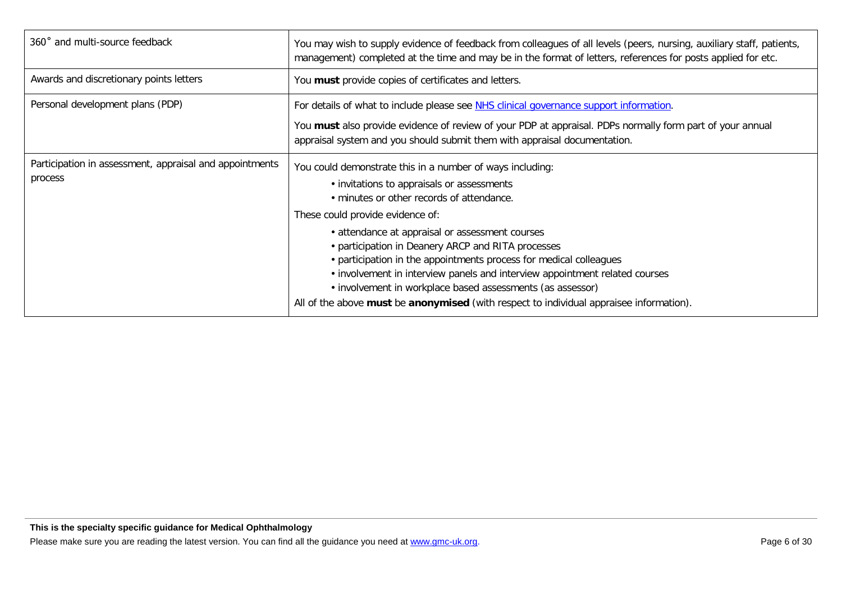| 360° and multi-source feedback                                     | You may wish to supply evidence of feedback from colleagues of all levels (peers, nursing, auxiliary staff, patients,<br>management) completed at the time and may be in the format of letters, references for posts applied for etc.                                                                                                                                                                                                                                                                                                                                                                           |
|--------------------------------------------------------------------|-----------------------------------------------------------------------------------------------------------------------------------------------------------------------------------------------------------------------------------------------------------------------------------------------------------------------------------------------------------------------------------------------------------------------------------------------------------------------------------------------------------------------------------------------------------------------------------------------------------------|
| Awards and discretionary points letters                            | You must provide copies of certificates and letters.                                                                                                                                                                                                                                                                                                                                                                                                                                                                                                                                                            |
| Personal development plans (PDP)                                   | For details of what to include please see NHS clinical governance support information.<br>You must also provide evidence of review of your PDP at appraisal. PDPs normally form part of your annual<br>appraisal system and you should submit them with appraisal documentation.                                                                                                                                                                                                                                                                                                                                |
| Participation in assessment, appraisal and appointments<br>process | You could demonstrate this in a number of ways including:<br>• invitations to appraisals or assessments<br>. minutes or other records of attendance.<br>These could provide evidence of:<br>• attendance at appraisal or assessment courses<br>• participation in Deanery ARCP and RITA processes<br>• participation in the appointments process for medical colleagues<br>• involvement in interview panels and interview appointment related courses<br>• involvement in workplace based assessments (as assessor)<br>All of the above must be anonymised (with respect to individual appraisee information). |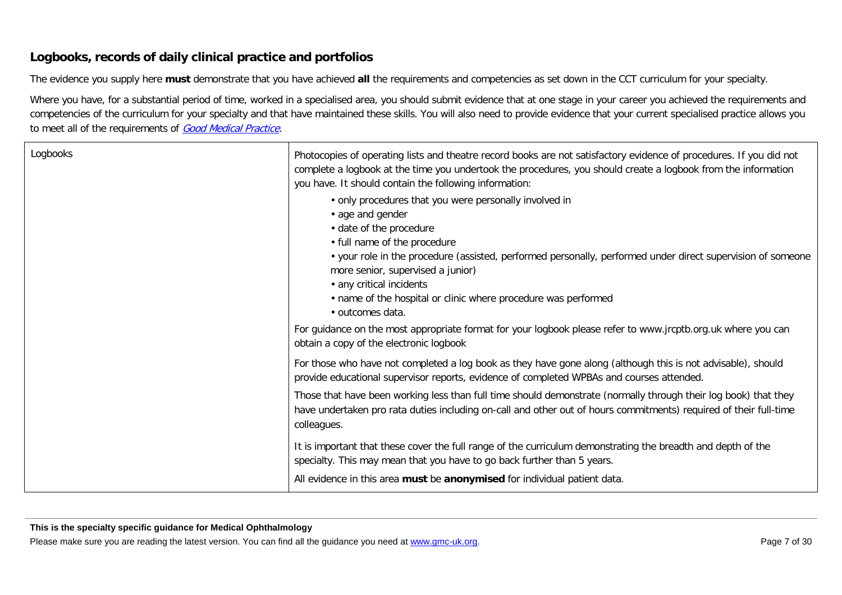#### **Logbooks, records of daily clinical practice and portfolios**

The evidence you supply here **must** demonstrate that you have achieved **all** the requirements and competencies as set down in the CCT curriculum for your specialty.

Where you have, for a substantial period of time, worked in a specialised area, you should submit evidence that at one stage in your career you achieved the requirements and competencies of the curriculum for your specialty and that have maintained these skills. You will also need to provide evidence that your current specialised practice allows you to meet all of the requirements of [Good Medical Practice](http://www.gmc-uk.org/guidance/good_medical_practice.asp).

| Logbooks | Photocopies of operating lists and theatre record books are not satisfactory evidence of procedures. If you did not<br>complete a logbook at the time you undertook the procedures, you should create a logbook from the information<br>you have. It should contain the following information:                                                                                                              |
|----------|-------------------------------------------------------------------------------------------------------------------------------------------------------------------------------------------------------------------------------------------------------------------------------------------------------------------------------------------------------------------------------------------------------------|
|          | • only procedures that you were personally involved in<br>• age and gender<br>· date of the procedure<br>• full name of the procedure<br>• your role in the procedure (assisted, performed personally, performed under direct supervision of someone<br>more senior, supervised a junior)<br>• any critical incidents<br>• name of the hospital or clinic where procedure was performed<br>· outcomes data. |
|          | For guidance on the most appropriate format for your logbook please refer to www.jrcptb.org.uk where you can<br>obtain a copy of the electronic logbook                                                                                                                                                                                                                                                     |
|          | For those who have not completed a log book as they have gone along (although this is not advisable), should<br>provide educational supervisor reports, evidence of completed WPBAs and courses attended.                                                                                                                                                                                                   |
|          | Those that have been working less than full time should demonstrate (normally through their log book) that they<br>have undertaken pro rata duties including on-call and other out of hours commitments) required of their full-time<br>colleagues.                                                                                                                                                         |
|          | It is important that these cover the full range of the curriculum demonstrating the breadth and depth of the<br>specialty. This may mean that you have to go back further than 5 years.<br>All evidence in this area must be anonymised for individual patient data.                                                                                                                                        |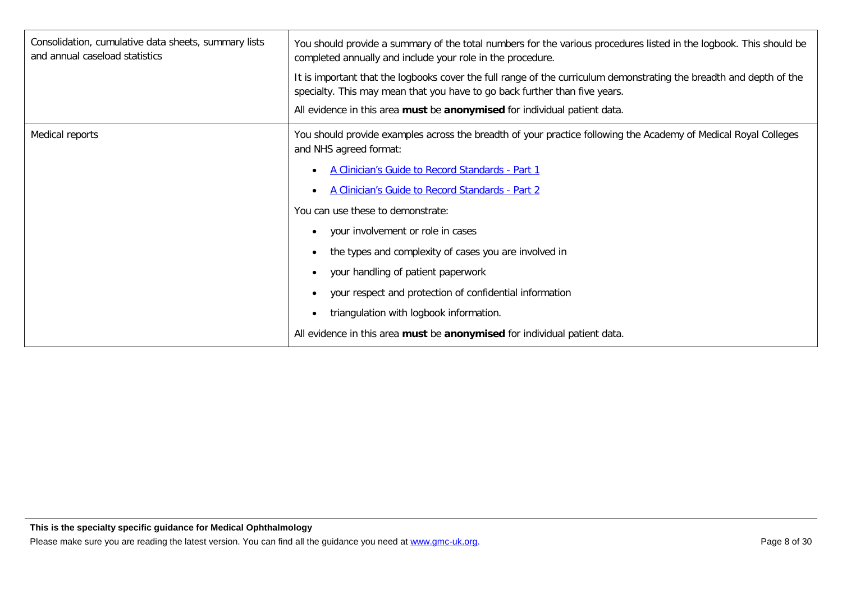| Consolidation, cumulative data sheets, summary lists<br>and annual caseload statistics | You should provide a summary of the total numbers for the various procedures listed in the logbook. This should be<br>completed annually and include your role in the procedure.                  |
|----------------------------------------------------------------------------------------|---------------------------------------------------------------------------------------------------------------------------------------------------------------------------------------------------|
|                                                                                        | It is important that the logbooks cover the full range of the curriculum demonstrating the breadth and depth of the<br>specialty. This may mean that you have to go back further than five years. |
|                                                                                        | All evidence in this area must be anonymised for individual patient data.                                                                                                                         |
| Medical reports                                                                        | You should provide examples across the breadth of your practice following the Academy of Medical Royal Colleges<br>and NHS agreed format:                                                         |
|                                                                                        | A Clinician's Guide to Record Standards - Part 1                                                                                                                                                  |
|                                                                                        | A Clinician's Guide to Record Standards - Part 2                                                                                                                                                  |
|                                                                                        | You can use these to demonstrate:                                                                                                                                                                 |
|                                                                                        | your involvement or role in cases<br>$\bullet$                                                                                                                                                    |
|                                                                                        | the types and complexity of cases you are involved in                                                                                                                                             |
|                                                                                        | your handling of patient paperwork                                                                                                                                                                |
|                                                                                        | your respect and protection of confidential information<br>$\bullet$                                                                                                                              |
|                                                                                        | triangulation with logbook information.<br>$\bullet$                                                                                                                                              |
|                                                                                        | All evidence in this area must be anonymised for individual patient data.                                                                                                                         |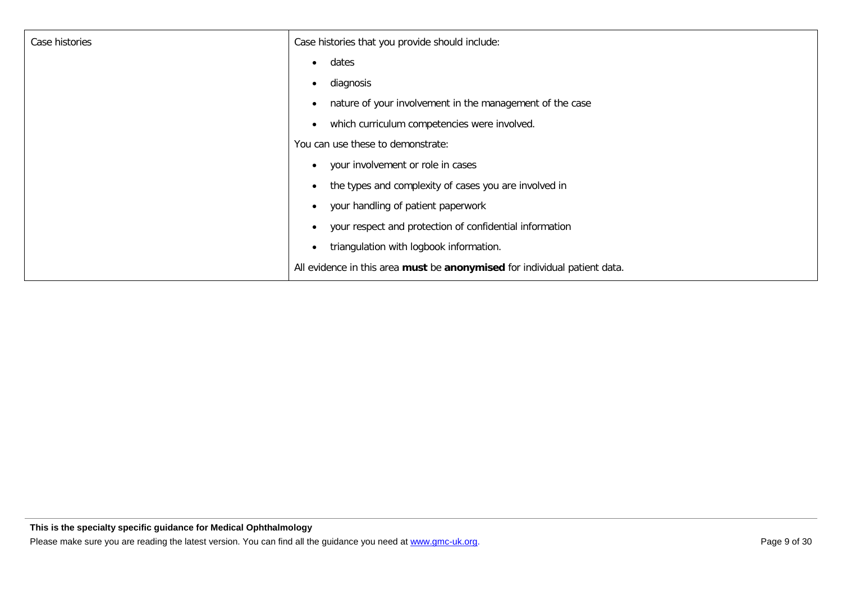| Case histories | Case histories that you provide should include:                           |
|----------------|---------------------------------------------------------------------------|
|                | dates<br>$\bullet$                                                        |
|                | diagnosis<br>$\bullet$                                                    |
|                | nature of your involvement in the management of the case                  |
|                | which curriculum competencies were involved.<br>$\bullet$                 |
|                | You can use these to demonstrate:                                         |
|                | your involvement or role in cases<br>$\bullet$                            |
|                | the types and complexity of cases you are involved in                     |
|                | your handling of patient paperwork<br>$\bullet$                           |
|                | your respect and protection of confidential information                   |
|                | triangulation with logbook information.                                   |
|                | All evidence in this area must be anonymised for individual patient data. |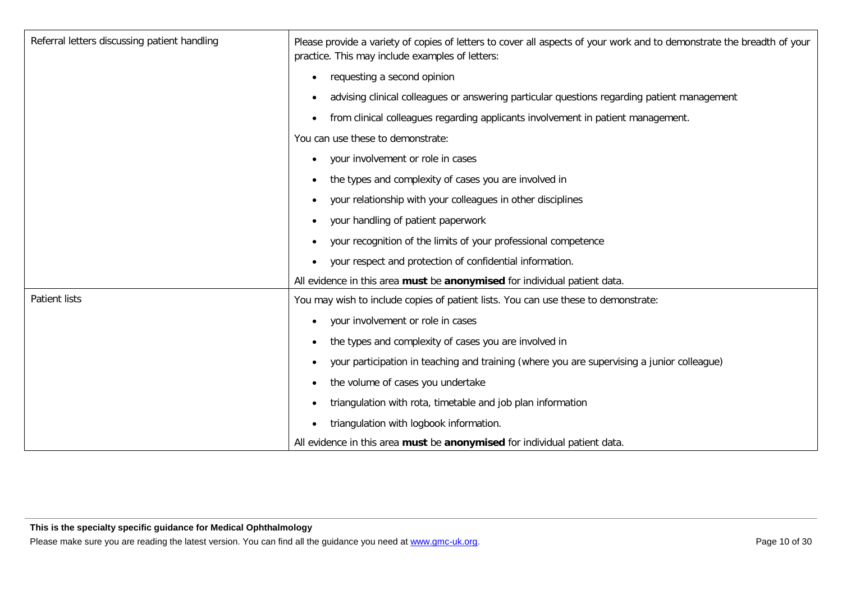| Referral letters discussing patient handling | Please provide a variety of copies of letters to cover all aspects of your work and to demonstrate the breadth of your<br>practice. This may include examples of letters: |
|----------------------------------------------|---------------------------------------------------------------------------------------------------------------------------------------------------------------------------|
|                                              | requesting a second opinion<br>$\bullet$                                                                                                                                  |
|                                              | advising clinical colleagues or answering particular questions regarding patient management<br>$\bullet$                                                                  |
|                                              | from clinical colleagues regarding applicants involvement in patient management.<br>$\bullet$                                                                             |
|                                              | You can use these to demonstrate:                                                                                                                                         |
|                                              | your involvement or role in cases<br>$\bullet$                                                                                                                            |
|                                              | the types and complexity of cases you are involved in<br>$\bullet$                                                                                                        |
|                                              | your relationship with your colleagues in other disciplines<br>$\bullet$                                                                                                  |
|                                              | your handling of patient paperwork<br>$\bullet$                                                                                                                           |
|                                              | your recognition of the limits of your professional competence                                                                                                            |
|                                              | your respect and protection of confidential information.                                                                                                                  |
|                                              | All evidence in this area must be anonymised for individual patient data.                                                                                                 |
| <b>Patient lists</b>                         | You may wish to include copies of patient lists. You can use these to demonstrate:                                                                                        |
|                                              | your involvement or role in cases                                                                                                                                         |
|                                              | the types and complexity of cases you are involved in<br>$\bullet$                                                                                                        |
|                                              | your participation in teaching and training (where you are supervising a junior colleague)<br>$\bullet$                                                                   |
|                                              | the volume of cases you undertake                                                                                                                                         |
|                                              | triangulation with rota, timetable and job plan information<br>$\bullet$                                                                                                  |
|                                              | triangulation with logbook information.<br>$\bullet$                                                                                                                      |
|                                              | All evidence in this area must be anonymised for individual patient data.                                                                                                 |

**This is the specialty specific guidance for Medical Ophthalmology**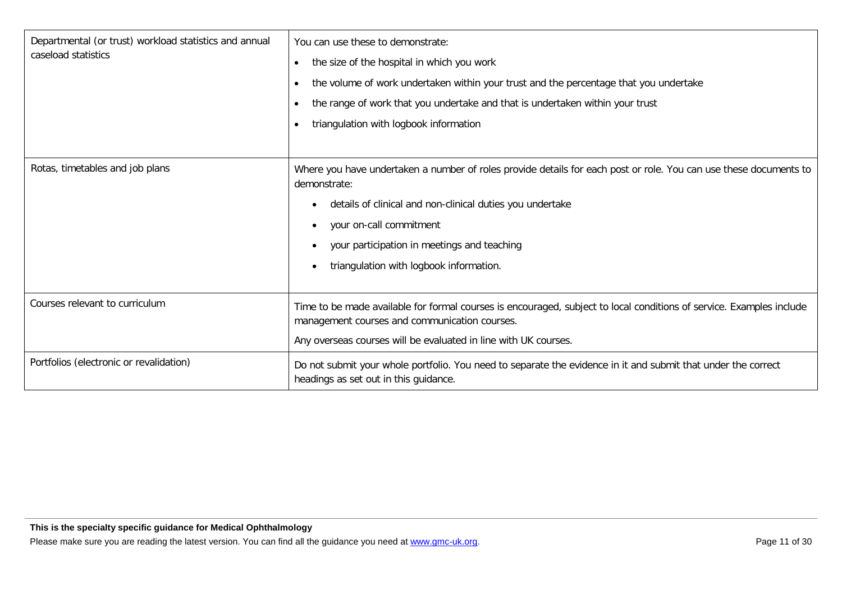| Departmental (or trust) workload statistics and annual | You can use these to demonstrate:                                                                                                                                     |
|--------------------------------------------------------|-----------------------------------------------------------------------------------------------------------------------------------------------------------------------|
| caseload statistics                                    | the size of the hospital in which you work<br>$\bullet$                                                                                                               |
|                                                        | the volume of work undertaken within your trust and the percentage that you undertake<br>$\bullet$                                                                    |
|                                                        | the range of work that you undertake and that is undertaken within your trust<br>$\bullet$                                                                            |
|                                                        | triangulation with logbook information<br>$\bullet$                                                                                                                   |
|                                                        |                                                                                                                                                                       |
| Rotas, timetables and job plans                        | Where you have undertaken a number of roles provide details for each post or role. You can use these documents to<br>demonstrate:                                     |
|                                                        | details of clinical and non-clinical duties you undertake                                                                                                             |
|                                                        | your on-call commitment<br>٠                                                                                                                                          |
|                                                        | your participation in meetings and teaching                                                                                                                           |
|                                                        | triangulation with logbook information.                                                                                                                               |
|                                                        |                                                                                                                                                                       |
| Courses relevant to curriculum                         | Time to be made available for formal courses is encouraged, subject to local conditions of service. Examples include<br>management courses and communication courses. |
|                                                        | Any overseas courses will be evaluated in line with UK courses.                                                                                                       |
| Portfolios (electronic or revalidation)                | Do not submit your whole portfolio. You need to separate the evidence in it and submit that under the correct<br>headings as set out in this guidance.                |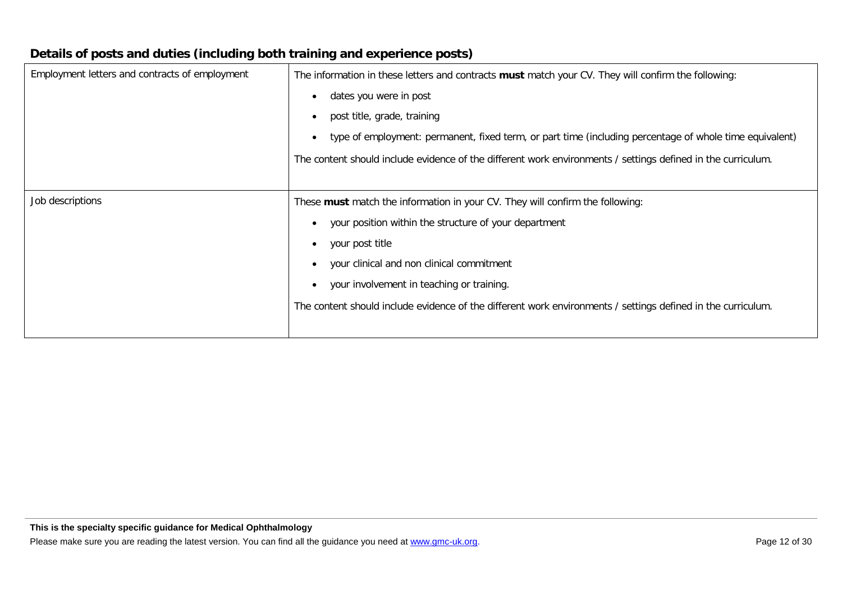|                                                | stand or pools and author (moluting both training and oxportance posts)                                              |  |
|------------------------------------------------|----------------------------------------------------------------------------------------------------------------------|--|
| Employment letters and contracts of employment | The information in these letters and contracts must match your CV. They will confirm the following:                  |  |
|                                                | dates you were in post<br>$\bullet$                                                                                  |  |
|                                                | post title, grade, training<br>$\bullet$                                                                             |  |
|                                                | type of employment: permanent, fixed term, or part time (including percentage of whole time equivalent)<br>$\bullet$ |  |
|                                                | The content should include evidence of the different work environments / settings defined in the curriculum.         |  |
|                                                |                                                                                                                      |  |
| Job descriptions                               | These <b>must</b> match the information in your CV. They will confirm the following:                                 |  |
|                                                | your position within the structure of your department                                                                |  |
|                                                | your post title<br>$\bullet$                                                                                         |  |
|                                                | your clinical and non clinical commitment<br>$\bullet$                                                               |  |
|                                                | your involvement in teaching or training.<br>$\bullet$                                                               |  |
|                                                | The content should include evidence of the different work environments / settings defined in the curriculum.         |  |
|                                                |                                                                                                                      |  |

#### **Details of posts and duties (including both training and experience posts)**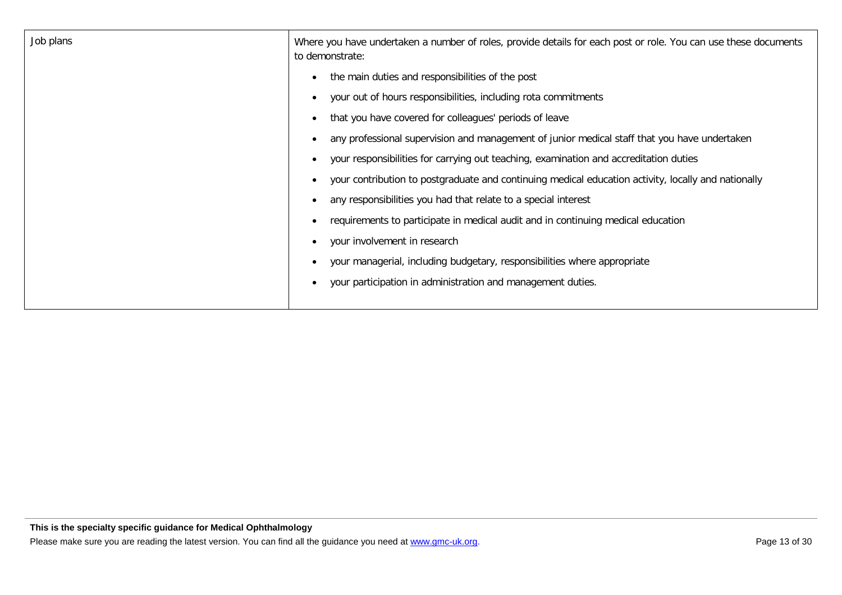| Job plans | Where you have undertaken a number of roles, provide details for each post or role. You can use these documents<br>to demonstrate: |
|-----------|------------------------------------------------------------------------------------------------------------------------------------|
|           | the main duties and responsibilities of the post                                                                                   |
|           | your out of hours responsibilities, including rota commitments<br>$\bullet$                                                        |
|           | that you have covered for colleagues' periods of leave                                                                             |
|           | any professional supervision and management of junior medical staff that you have undertaken                                       |
|           | your responsibilities for carrying out teaching, examination and accreditation duties                                              |
|           | your contribution to postgraduate and continuing medical education activity, locally and nationally                                |
|           | any responsibilities you had that relate to a special interest                                                                     |
|           | requirements to participate in medical audit and in continuing medical education                                                   |
|           | your involvement in research<br>$\bullet$                                                                                          |
|           | your managerial, including budgetary, responsibilities where appropriate                                                           |
|           | your participation in administration and management duties.                                                                        |
|           |                                                                                                                                    |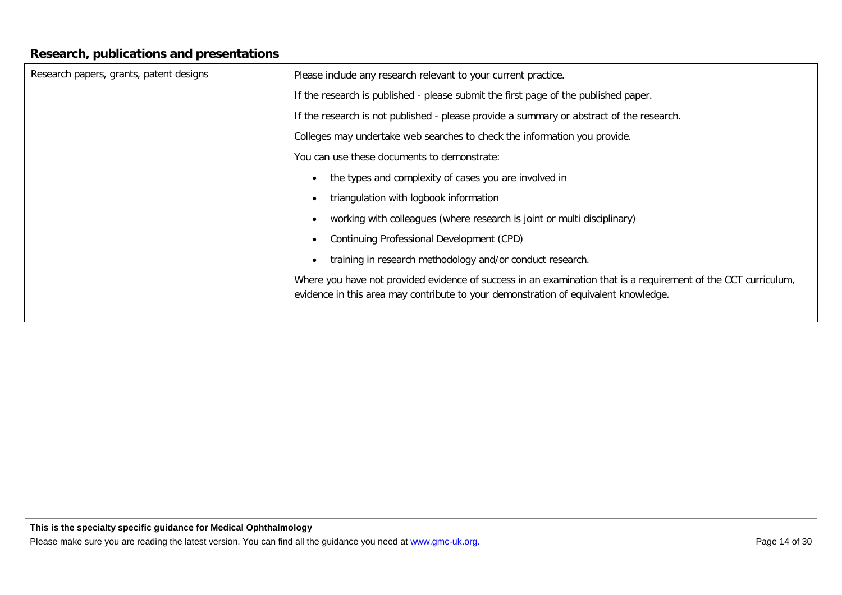#### **Research, publications and presentations**

| Research papers, grants, patent designs | Please include any research relevant to your current practice.                                                                                                                                        |
|-----------------------------------------|-------------------------------------------------------------------------------------------------------------------------------------------------------------------------------------------------------|
|                                         | If the research is published - please submit the first page of the published paper.                                                                                                                   |
|                                         | If the research is not published - please provide a summary or abstract of the research.                                                                                                              |
|                                         | Colleges may undertake web searches to check the information you provide.                                                                                                                             |
|                                         | You can use these documents to demonstrate:                                                                                                                                                           |
|                                         | the types and complexity of cases you are involved in                                                                                                                                                 |
|                                         | triangulation with logbook information                                                                                                                                                                |
|                                         | working with colleagues (where research is joint or multi disciplinary)                                                                                                                               |
|                                         | Continuing Professional Development (CPD)                                                                                                                                                             |
|                                         | training in research methodology and/or conduct research.                                                                                                                                             |
|                                         | Where you have not provided evidence of success in an examination that is a requirement of the CCT curriculum,<br>evidence in this area may contribute to your demonstration of equivalent knowledge. |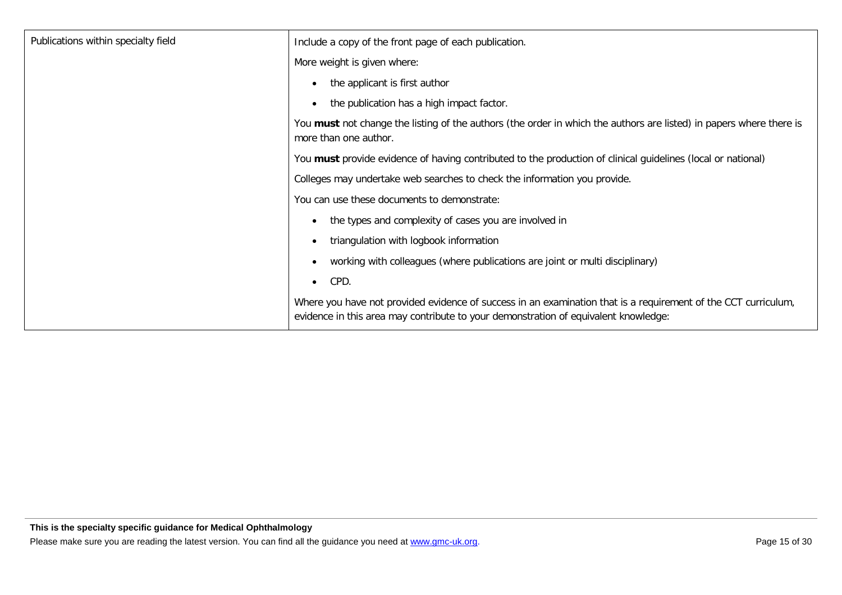| Publications within specialty field | Include a copy of the front page of each publication.                                                                                                                                                 |
|-------------------------------------|-------------------------------------------------------------------------------------------------------------------------------------------------------------------------------------------------------|
|                                     | More weight is given where:                                                                                                                                                                           |
|                                     | the applicant is first author                                                                                                                                                                         |
|                                     | the publication has a high impact factor.                                                                                                                                                             |
|                                     | You must not change the listing of the authors (the order in which the authors are listed) in papers where there is<br>more than one author.                                                          |
|                                     | You must provide evidence of having contributed to the production of clinical guidelines (local or national)                                                                                          |
|                                     | Colleges may undertake web searches to check the information you provide.                                                                                                                             |
|                                     | You can use these documents to demonstrate:                                                                                                                                                           |
|                                     | the types and complexity of cases you are involved in                                                                                                                                                 |
|                                     | triangulation with logbook information                                                                                                                                                                |
|                                     | working with colleagues (where publications are joint or multi disciplinary)                                                                                                                          |
|                                     | CPD.<br>$\bullet$                                                                                                                                                                                     |
|                                     | Where you have not provided evidence of success in an examination that is a requirement of the CCT curriculum,<br>evidence in this area may contribute to your demonstration of equivalent knowledge: |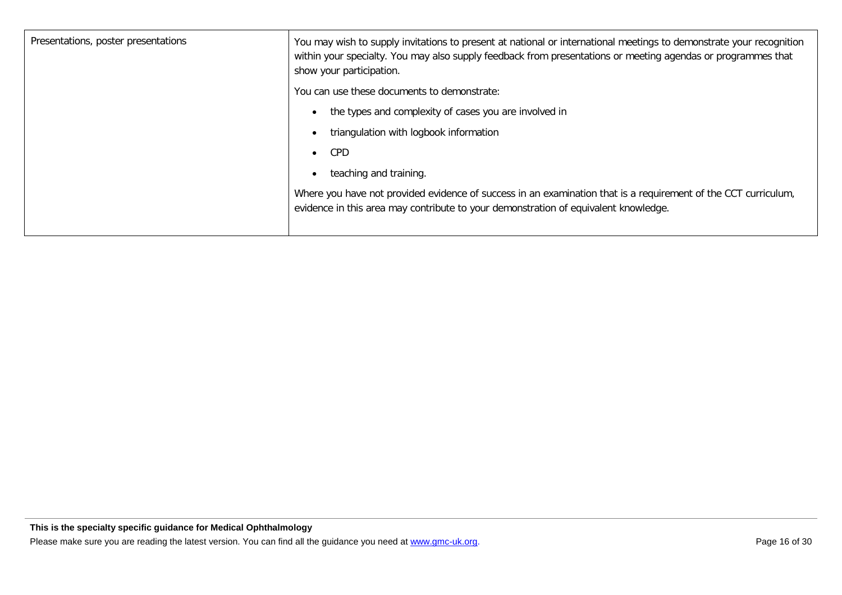| Presentations, poster presentations | You may wish to supply invitations to present at national or international meetings to demonstrate your recognition<br>within your specialty. You may also supply feedback from presentations or meeting agendas or programmes that<br>show your participation. |
|-------------------------------------|-----------------------------------------------------------------------------------------------------------------------------------------------------------------------------------------------------------------------------------------------------------------|
|                                     | You can use these documents to demonstrate:                                                                                                                                                                                                                     |
|                                     | the types and complexity of cases you are involved in<br>$\bullet$                                                                                                                                                                                              |
|                                     | triangulation with logbook information                                                                                                                                                                                                                          |
|                                     | CPD<br>$\bullet$                                                                                                                                                                                                                                                |
|                                     | teaching and training.<br>$\bullet$                                                                                                                                                                                                                             |
|                                     | Where you have not provided evidence of success in an examination that is a requirement of the CCT curriculum,<br>evidence in this area may contribute to your demonstration of equivalent knowledge.                                                           |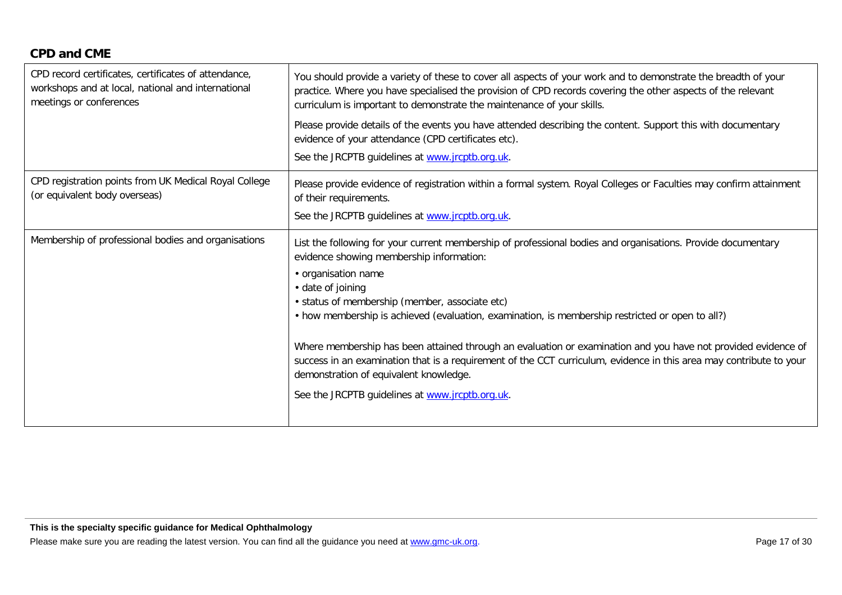#### **CPD and CME**

| CPD record certificates, certificates of attendance,<br>workshops and at local, national and international<br>meetings or conferences | You should provide a variety of these to cover all aspects of your work and to demonstrate the breadth of your<br>practice. Where you have specialised the provision of CPD records covering the other aspects of the relevant<br>curriculum is important to demonstrate the maintenance of your skills.                                                                                                                                                                                                                                                                                                                                                                                        |
|---------------------------------------------------------------------------------------------------------------------------------------|-------------------------------------------------------------------------------------------------------------------------------------------------------------------------------------------------------------------------------------------------------------------------------------------------------------------------------------------------------------------------------------------------------------------------------------------------------------------------------------------------------------------------------------------------------------------------------------------------------------------------------------------------------------------------------------------------|
|                                                                                                                                       | Please provide details of the events you have attended describing the content. Support this with documentary<br>evidence of your attendance (CPD certificates etc).<br>See the JRCPTB guidelines at www.jrcptb.org.uk.                                                                                                                                                                                                                                                                                                                                                                                                                                                                          |
| CPD registration points from UK Medical Royal College<br>(or equivalent body overseas)                                                | Please provide evidence of registration within a formal system. Royal Colleges or Faculties may confirm attainment<br>of their requirements.<br>See the JRCPTB guidelines at www.jrcptb.org.uk.                                                                                                                                                                                                                                                                                                                                                                                                                                                                                                 |
| Membership of professional bodies and organisations                                                                                   | List the following for your current membership of professional bodies and organisations. Provide documentary<br>evidence showing membership information:<br>• organisation name<br>• date of joining<br>· status of membership (member, associate etc)<br>• how membership is achieved (evaluation, examination, is membership restricted or open to all?)<br>Where membership has been attained through an evaluation or examination and you have not provided evidence of<br>success in an examination that is a requirement of the CCT curriculum, evidence in this area may contribute to your<br>demonstration of equivalent knowledge.<br>See the JRCPTB guidelines at www.jrcptb.org.uk. |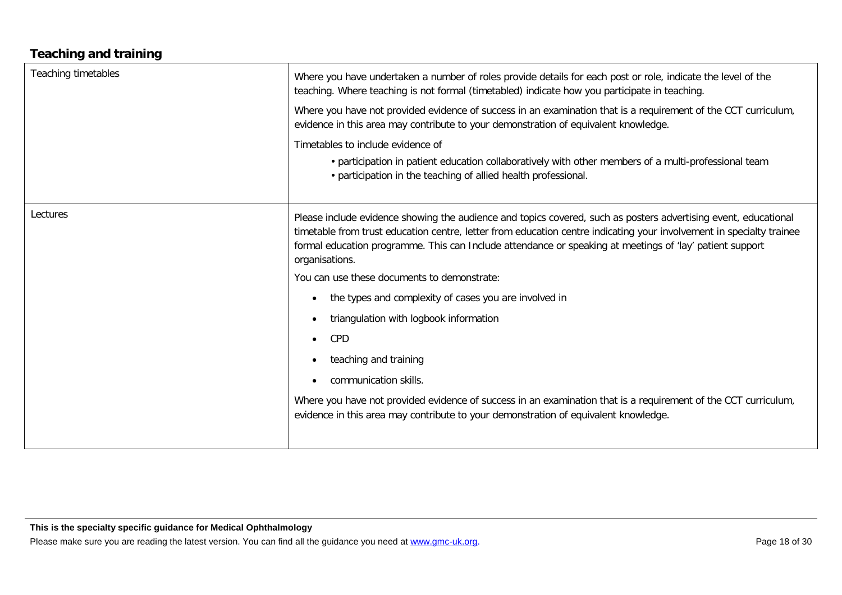#### **Teaching and training**

| <b>Teaching timetables</b> | Where you have undertaken a number of roles provide details for each post or role, indicate the level of the<br>teaching. Where teaching is not formal (timetabled) indicate how you participate in teaching.<br>Where you have not provided evidence of success in an examination that is a requirement of the CCT curriculum,<br>evidence in this area may contribute to your demonstration of equivalent knowledge.<br>Timetables to include evidence of<br>• participation in patient education collaboratively with other members of a multi-professional team<br>• participation in the teaching of allied health professional.                                                                                                                                                                                                                      |
|----------------------------|------------------------------------------------------------------------------------------------------------------------------------------------------------------------------------------------------------------------------------------------------------------------------------------------------------------------------------------------------------------------------------------------------------------------------------------------------------------------------------------------------------------------------------------------------------------------------------------------------------------------------------------------------------------------------------------------------------------------------------------------------------------------------------------------------------------------------------------------------------|
| Lectures                   | Please include evidence showing the audience and topics covered, such as posters advertising event, educational<br>timetable from trust education centre, letter from education centre indicating your involvement in specialty trainee<br>formal education programme. This can Include attendance or speaking at meetings of 'lay' patient support<br>organisations.<br>You can use these documents to demonstrate:<br>the types and complexity of cases you are involved in<br>$\bullet$<br>triangulation with logbook information<br>$\bullet$<br>CPD<br>$\bullet$<br>teaching and training<br>$\bullet$<br>communication skills.<br>$\bullet$<br>Where you have not provided evidence of success in an examination that is a requirement of the CCT curriculum,<br>evidence in this area may contribute to your demonstration of equivalent knowledge. |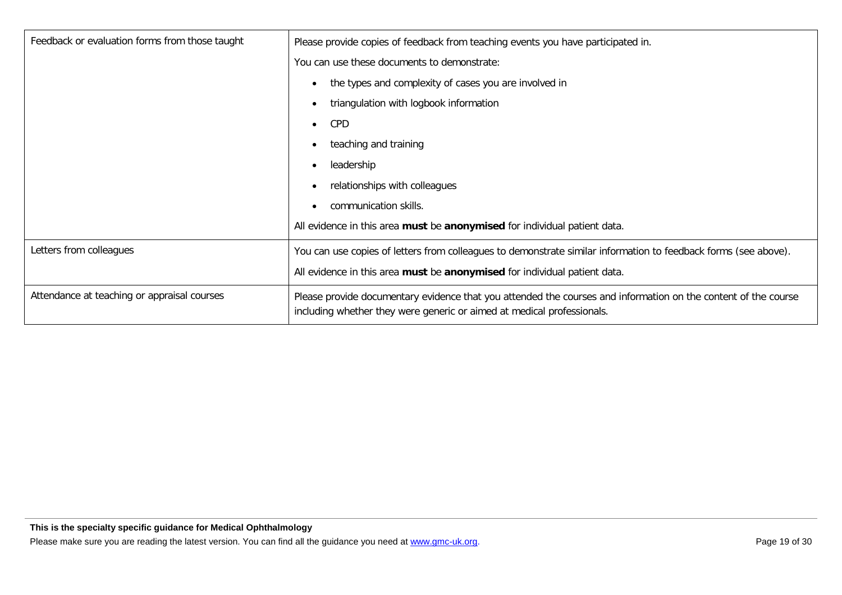| Feedback or evaluation forms from those taught | Please provide copies of feedback from teaching events you have participated in.                                                                                                         |
|------------------------------------------------|------------------------------------------------------------------------------------------------------------------------------------------------------------------------------------------|
|                                                | You can use these documents to demonstrate:                                                                                                                                              |
|                                                | the types and complexity of cases you are involved in                                                                                                                                    |
|                                                | triangulation with logbook information                                                                                                                                                   |
|                                                | <b>CPD</b>                                                                                                                                                                               |
|                                                | teaching and training                                                                                                                                                                    |
|                                                | leadership                                                                                                                                                                               |
|                                                | relationships with colleagues                                                                                                                                                            |
|                                                | communication skills.                                                                                                                                                                    |
|                                                | All evidence in this area must be anonymised for individual patient data.                                                                                                                |
| Letters from colleagues                        | You can use copies of letters from colleagues to demonstrate similar information to feedback forms (see above).                                                                          |
|                                                | All evidence in this area must be anonymised for individual patient data.                                                                                                                |
| Attendance at teaching or appraisal courses    | Please provide documentary evidence that you attended the courses and information on the content of the course<br>including whether they were generic or aimed at medical professionals. |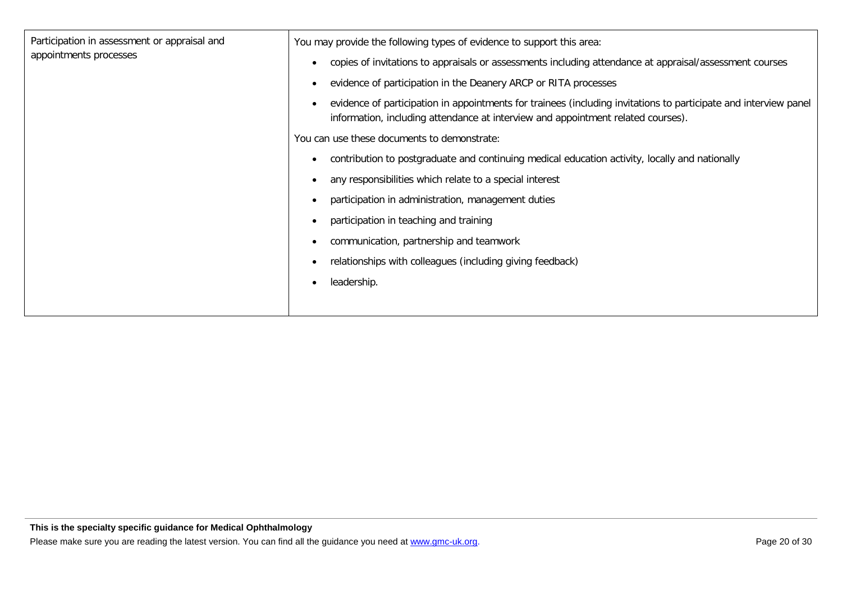| Participation in assessment or appraisal and<br>appointments processes | You may provide the following types of evidence to support this area:<br>copies of invitations to appraisals or assessments including attendance at appraisal/assessment courses                     |
|------------------------------------------------------------------------|------------------------------------------------------------------------------------------------------------------------------------------------------------------------------------------------------|
|                                                                        | evidence of participation in the Deanery ARCP or RITA processes                                                                                                                                      |
|                                                                        | evidence of participation in appointments for trainees (including invitations to participate and interview panel<br>information, including attendance at interview and appointment related courses). |
|                                                                        | You can use these documents to demonstrate:                                                                                                                                                          |
|                                                                        | contribution to postgraduate and continuing medical education activity, locally and nationally                                                                                                       |
|                                                                        | any responsibilities which relate to a special interest                                                                                                                                              |
|                                                                        | participation in administration, management duties                                                                                                                                                   |
|                                                                        | participation in teaching and training                                                                                                                                                               |
|                                                                        | communication, partnership and teamwork                                                                                                                                                              |
|                                                                        | relationships with colleagues (including giving feedback)                                                                                                                                            |
|                                                                        | leadership.                                                                                                                                                                                          |
|                                                                        |                                                                                                                                                                                                      |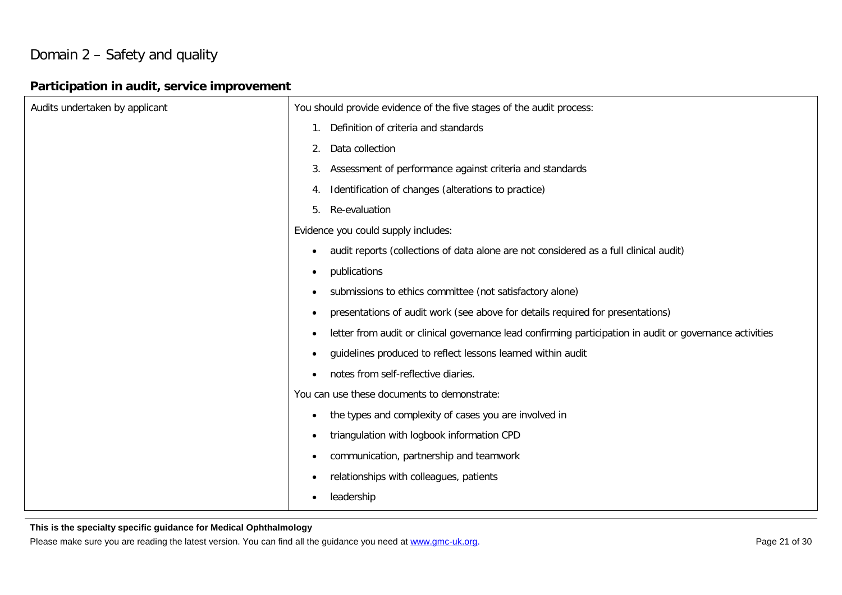## Domain 2 – Safety and quality

#### **Participation in audit, service improvement**

| Audits undertaken by applicant | You should provide evidence of the five stages of the audit process:                                                  |
|--------------------------------|-----------------------------------------------------------------------------------------------------------------------|
|                                | Definition of criteria and standards<br>1.                                                                            |
|                                | Data collection<br>2.                                                                                                 |
|                                | Assessment of performance against criteria and standards<br>3.                                                        |
|                                | Identification of changes (alterations to practice)<br>4.                                                             |
|                                | Re-evaluation<br>5.                                                                                                   |
|                                | Evidence you could supply includes:                                                                                   |
|                                | audit reports (collections of data alone are not considered as a full clinical audit)<br>$\bullet$                    |
|                                | publications<br>$\bullet$                                                                                             |
|                                | submissions to ethics committee (not satisfactory alone)<br>$\bullet$                                                 |
|                                | presentations of audit work (see above for details required for presentations)<br>$\bullet$                           |
|                                | letter from audit or clinical governance lead confirming participation in audit or governance activities<br>$\bullet$ |
|                                | guidelines produced to reflect lessons learned within audit<br>$\bullet$                                              |
|                                | notes from self-reflective diaries.<br>$\bullet$                                                                      |
|                                | You can use these documents to demonstrate:                                                                           |
|                                | the types and complexity of cases you are involved in<br>$\bullet$                                                    |
|                                | triangulation with logbook information CPD<br>$\bullet$                                                               |
|                                | communication, partnership and teamwork<br>$\bullet$                                                                  |
|                                | relationships with colleagues, patients<br>$\bullet$                                                                  |
|                                | leadership                                                                                                            |

**This is the specialty specific guidance for Medical Ophthalmology**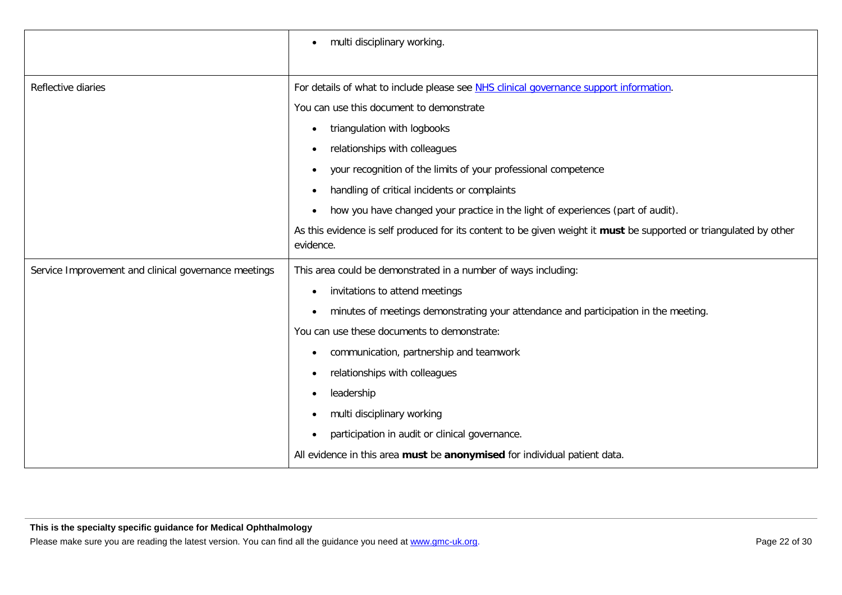|                                                      | multi disciplinary working.                                                                                                     |
|------------------------------------------------------|---------------------------------------------------------------------------------------------------------------------------------|
|                                                      |                                                                                                                                 |
| Reflective diaries                                   | For details of what to include please see NHS clinical governance support information.                                          |
|                                                      | You can use this document to demonstrate                                                                                        |
|                                                      | triangulation with logbooks<br>٠                                                                                                |
|                                                      | relationships with colleagues<br>٠                                                                                              |
|                                                      | your recognition of the limits of your professional competence<br>$\bullet$                                                     |
|                                                      | handling of critical incidents or complaints<br>$\bullet$                                                                       |
|                                                      | how you have changed your practice in the light of experiences (part of audit).<br>٠                                            |
|                                                      | As this evidence is self produced for its content to be given weight it must be supported or triangulated by other<br>evidence. |
| Service Improvement and clinical governance meetings | This area could be demonstrated in a number of ways including:                                                                  |
|                                                      | invitations to attend meetings                                                                                                  |
|                                                      | minutes of meetings demonstrating your attendance and participation in the meeting.                                             |
|                                                      | You can use these documents to demonstrate:                                                                                     |
|                                                      | communication, partnership and teamwork                                                                                         |
|                                                      | relationships with colleagues                                                                                                   |
|                                                      | leadership                                                                                                                      |
|                                                      | multi disciplinary working                                                                                                      |
|                                                      | participation in audit or clinical governance.                                                                                  |
|                                                      | All evidence in this area must be anonymised for individual patient data.                                                       |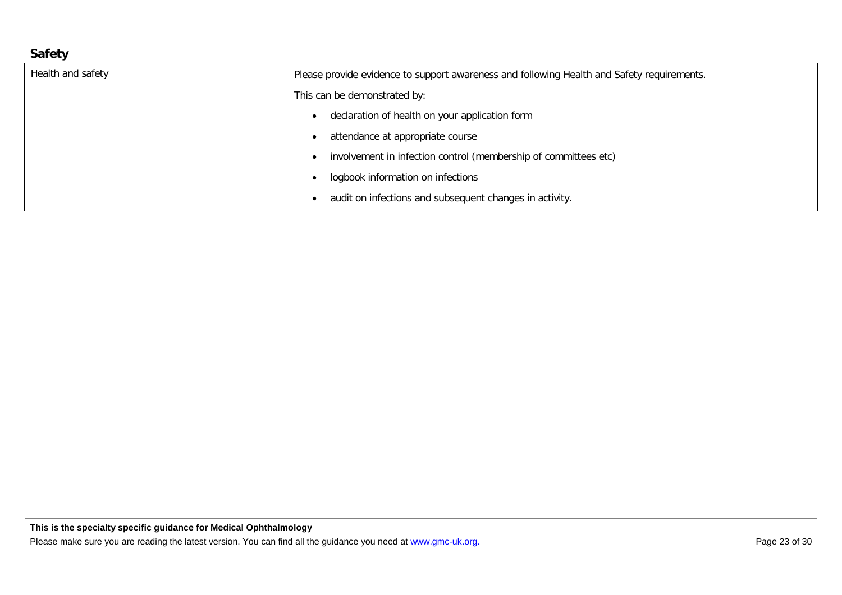## **Safety**

| Health and safety | Please provide evidence to support awareness and following Health and Safety requirements. |
|-------------------|--------------------------------------------------------------------------------------------|
|                   | This can be demonstrated by:                                                               |
|                   | declaration of health on your application form                                             |
|                   | attendance at appropriate course                                                           |
|                   | involvement in infection control (membership of committees etc)                            |
|                   | logbook information on infections                                                          |
|                   | audit on infections and subsequent changes in activity.                                    |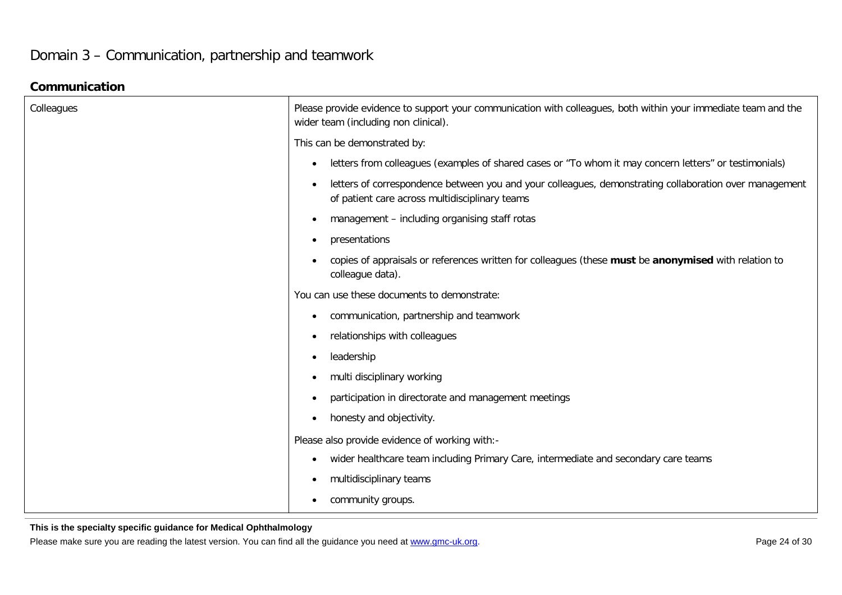## Domain 3 – Communication, partnership and teamwork

#### **Communication**

| Colleagues | Please provide evidence to support your communication with colleagues, both within your immediate team and the<br>wider team (including non clinical).                |
|------------|-----------------------------------------------------------------------------------------------------------------------------------------------------------------------|
|            | This can be demonstrated by:                                                                                                                                          |
|            | letters from colleagues (examples of shared cases or "To whom it may concern letters" or testimonials)<br>$\bullet$                                                   |
|            | letters of correspondence between you and your colleagues, demonstrating collaboration over management<br>$\bullet$<br>of patient care across multidisciplinary teams |
|            | management - including organising staff rotas<br>$\bullet$                                                                                                            |
|            | presentations<br>$\bullet$                                                                                                                                            |
|            | copies of appraisals or references written for colleagues (these must be anonymised with relation to<br>colleague data).                                              |
|            | You can use these documents to demonstrate:                                                                                                                           |
|            | communication, partnership and teamwork<br>$\bullet$                                                                                                                  |
|            | relationships with colleagues<br>$\bullet$                                                                                                                            |
|            | leadership<br>$\bullet$                                                                                                                                               |
|            | multi disciplinary working<br>$\bullet$                                                                                                                               |
|            | participation in directorate and management meetings<br>$\bullet$                                                                                                     |
|            | honesty and objectivity.<br>$\bullet$                                                                                                                                 |
|            | Please also provide evidence of working with:-                                                                                                                        |
|            | wider healthcare team including Primary Care, intermediate and secondary care teams<br>$\bullet$                                                                      |
|            | multidisciplinary teams<br>$\bullet$                                                                                                                                  |
|            | community groups.                                                                                                                                                     |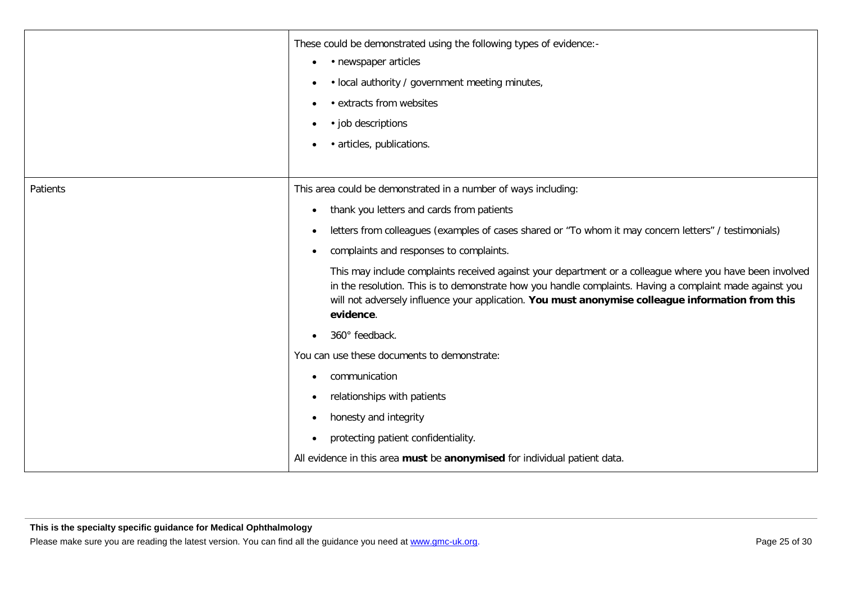|          | These could be demonstrated using the following types of evidence:-<br>• newspaper articles<br>$\bullet$<br>· local authority / government meeting minutes,<br>٠<br>• extracts from websites<br>٠<br>• job descriptions<br>· articles, publications.                                                                                                                                                                                                                                                                                                                                                                                                                                                                                                                                                                                                        |
|----------|-------------------------------------------------------------------------------------------------------------------------------------------------------------------------------------------------------------------------------------------------------------------------------------------------------------------------------------------------------------------------------------------------------------------------------------------------------------------------------------------------------------------------------------------------------------------------------------------------------------------------------------------------------------------------------------------------------------------------------------------------------------------------------------------------------------------------------------------------------------|
| Patients | This area could be demonstrated in a number of ways including:<br>thank you letters and cards from patients<br>$\bullet$<br>letters from colleagues (examples of cases shared or "To whom it may concern letters" / testimonials)<br>complaints and responses to complaints.<br>This may include complaints received against your department or a colleague where you have been involved<br>in the resolution. This is to demonstrate how you handle complaints. Having a complaint made against you<br>will not adversely influence your application. You must anonymise colleague information from this<br>evidence.<br>360° feedback.<br>You can use these documents to demonstrate:<br>communication<br>$\bullet$<br>relationships with patients<br>$\bullet$<br>honesty and integrity<br>$\bullet$<br>protecting patient confidentiality.<br>$\bullet$ |
|          | All evidence in this area must be anonymised for individual patient data.                                                                                                                                                                                                                                                                                                                                                                                                                                                                                                                                                                                                                                                                                                                                                                                   |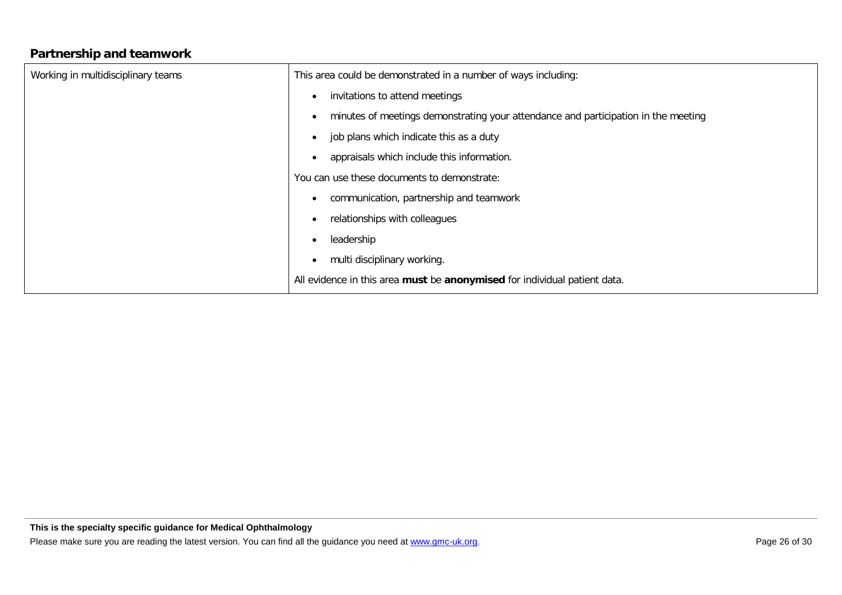#### **Partnership and teamwork**

| Working in multidisciplinary teams | This area could be demonstrated in a number of ways including:                     |
|------------------------------------|------------------------------------------------------------------------------------|
|                                    | invitations to attend meetings                                                     |
|                                    | minutes of meetings demonstrating your attendance and participation in the meeting |
|                                    | job plans which indicate this as a duty                                            |
|                                    | appraisals which include this information.                                         |
|                                    | You can use these documents to demonstrate:                                        |
|                                    | communication, partnership and teamwork                                            |
|                                    | relationships with colleagues                                                      |
|                                    | leadership<br>٠                                                                    |
|                                    | multi disciplinary working.                                                        |
|                                    | All evidence in this area must be anonymised for individual patient data.          |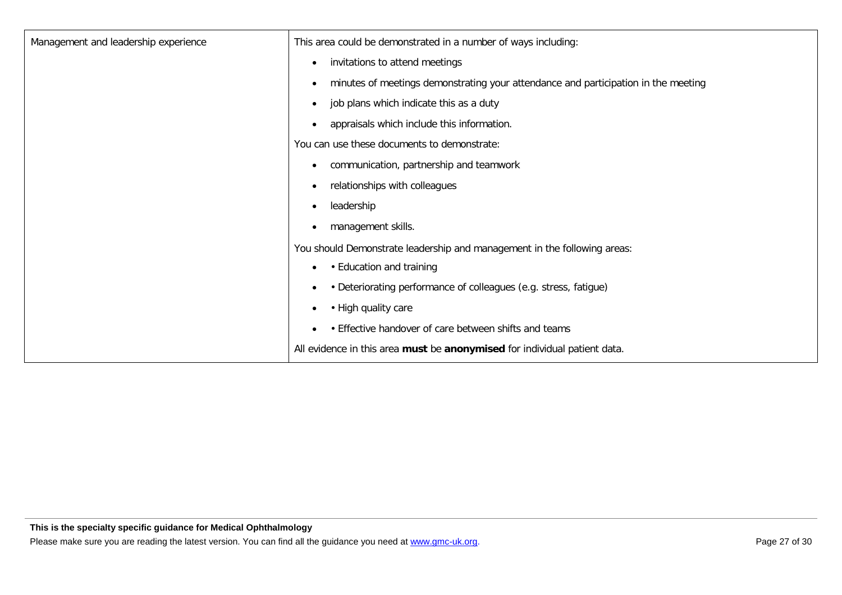| Management and leadership experience | This area could be demonstrated in a number of ways including:                                  |
|--------------------------------------|-------------------------------------------------------------------------------------------------|
|                                      | invitations to attend meetings<br>$\bullet$                                                     |
|                                      | minutes of meetings demonstrating your attendance and participation in the meeting<br>$\bullet$ |
|                                      | job plans which indicate this as a duty<br>$\bullet$                                            |
|                                      | appraisals which include this information.<br>$\bullet$                                         |
|                                      | You can use these documents to demonstrate:                                                     |
|                                      | communication, partnership and teamwork<br>$\bullet$                                            |
|                                      | relationships with colleagues<br>$\bullet$                                                      |
|                                      | leadership<br>$\bullet$                                                                         |
|                                      | management skills.                                                                              |
|                                      | You should Demonstrate leadership and management in the following areas:                        |
|                                      | • Education and training                                                                        |
|                                      | • Deteriorating performance of colleagues (e.g. stress, fatigue)<br>$\bullet$                   |
|                                      | • High quality care<br>$\bullet$                                                                |
|                                      | • Effective handover of care between shifts and teams                                           |
|                                      | All evidence in this area must be anonymised for individual patient data.                       |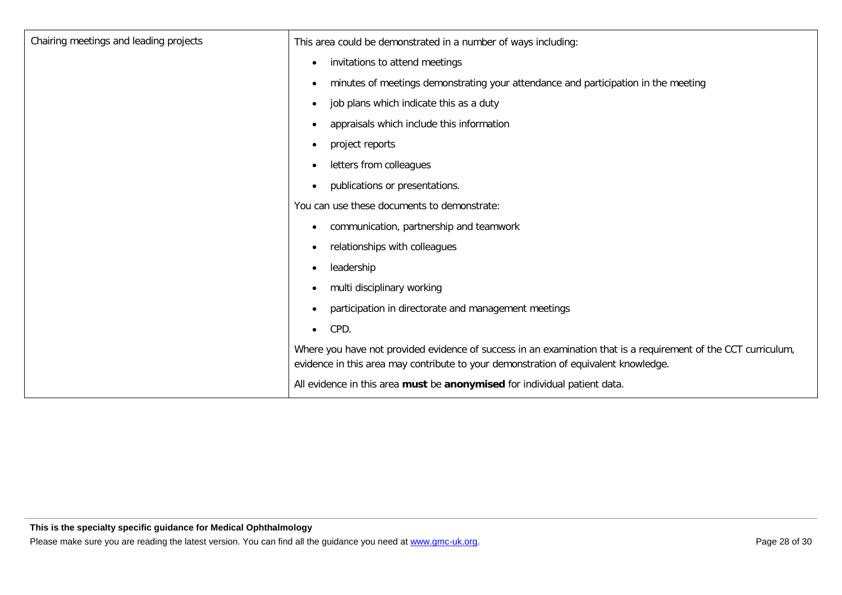| Chairing meetings and leading projects | This area could be demonstrated in a number of ways including:                                                                                                                                        |
|----------------------------------------|-------------------------------------------------------------------------------------------------------------------------------------------------------------------------------------------------------|
|                                        | invitations to attend meetings<br>$\bullet$                                                                                                                                                           |
|                                        | minutes of meetings demonstrating your attendance and participation in the meeting<br>$\bullet$                                                                                                       |
|                                        | job plans which indicate this as a duty<br>$\bullet$                                                                                                                                                  |
|                                        | appraisals which include this information<br>$\bullet$                                                                                                                                                |
|                                        | project reports<br>$\bullet$                                                                                                                                                                          |
|                                        | letters from colleagues                                                                                                                                                                               |
|                                        | publications or presentations.<br>$\bullet$                                                                                                                                                           |
|                                        | You can use these documents to demonstrate:                                                                                                                                                           |
|                                        | communication, partnership and teamwork                                                                                                                                                               |
|                                        | relationships with colleagues<br>$\bullet$                                                                                                                                                            |
|                                        | leadership<br>$\bullet$                                                                                                                                                                               |
|                                        | multi disciplinary working<br>$\bullet$                                                                                                                                                               |
|                                        | participation in directorate and management meetings<br>$\bullet$                                                                                                                                     |
|                                        | CPD.<br>$\bullet$                                                                                                                                                                                     |
|                                        | Where you have not provided evidence of success in an examination that is a requirement of the CCT curriculum,<br>evidence in this area may contribute to your demonstration of equivalent knowledge. |
|                                        | All evidence in this area must be anonymised for individual patient data.                                                                                                                             |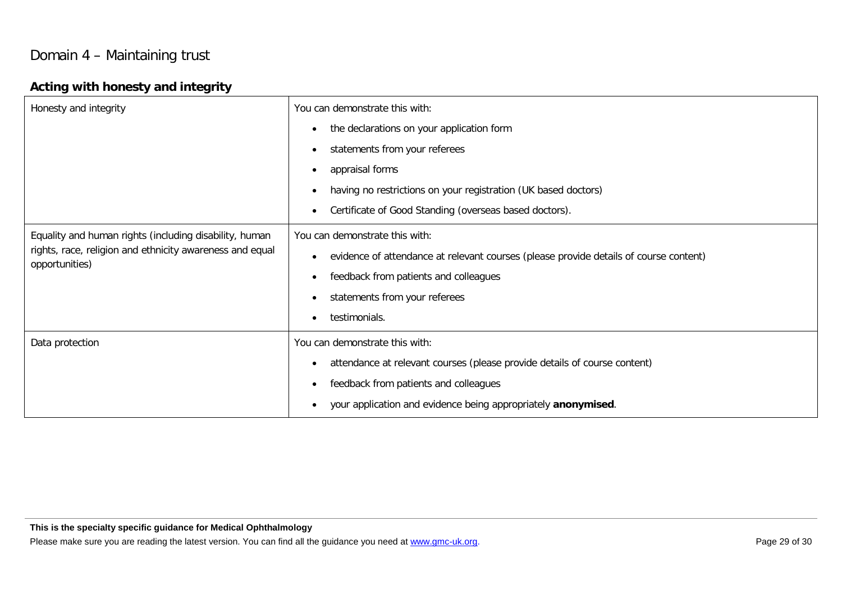## Domain 4 – Maintaining trust

#### **Acting with honesty and integrity**

| Honesty and integrity                                                                                                                | You can demonstrate this with:                                                                     |
|--------------------------------------------------------------------------------------------------------------------------------------|----------------------------------------------------------------------------------------------------|
|                                                                                                                                      | the declarations on your application form<br>$\bullet$                                             |
|                                                                                                                                      | statements from your referees<br>$\bullet$                                                         |
|                                                                                                                                      | appraisal forms<br>$\bullet$                                                                       |
|                                                                                                                                      | having no restrictions on your registration (UK based doctors)<br>$\bullet$                        |
|                                                                                                                                      | Certificate of Good Standing (overseas based doctors).<br>$\bullet$                                |
| Equality and human rights (including disability, human<br>rights, race, religion and ethnicity awareness and equal<br>opportunities) | You can demonstrate this with:                                                                     |
|                                                                                                                                      | evidence of attendance at relevant courses (please provide details of course content)<br>$\bullet$ |
|                                                                                                                                      | feedback from patients and colleagues<br>$\bullet$                                                 |
|                                                                                                                                      | statements from your referees<br>$\bullet$                                                         |
|                                                                                                                                      | testimonials.<br>$\bullet$                                                                         |
| Data protection                                                                                                                      | You can demonstrate this with:                                                                     |
|                                                                                                                                      | attendance at relevant courses (please provide details of course content)<br>$\bullet$             |
|                                                                                                                                      | feedback from patients and colleagues<br>$\bullet$                                                 |
|                                                                                                                                      | your application and evidence being appropriately anonymised.                                      |

**This is the specialty specific guidance for Medical Ophthalmology**